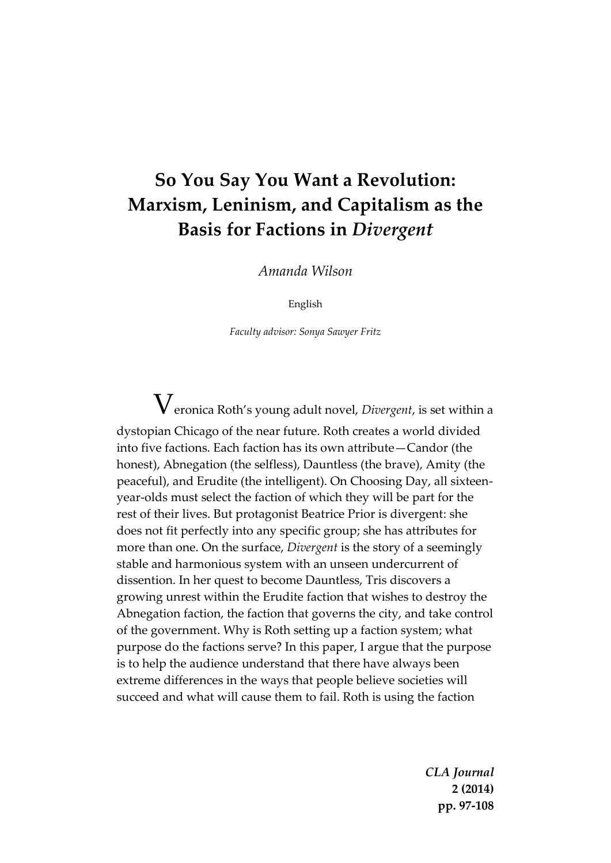## **So You Say You Want a Revolution: Marxism, Leninism, and Capitalism as the Basis for Factions in** *Divergent*

*Amanda Wilson*

English

*Faculty advisor: Sonya Sawyer Fritz*

 ${\rm V}_{\rm{eronica}}$  Roth's young adult novel, *Divergent,* is set within a dystopian Chicago of the near future. Roth creates a world divided into five factions. Each faction has its own attribute—Candor (the honest), Abnegation (the selfless), Dauntless (the brave), Amity (the peaceful), and Erudite (the intelligent). On Choosing Day, all sixteenyear-olds must select the faction of which they will be part for the rest of their lives. But protagonist Beatrice Prior is divergent: she does not fit perfectly into any specific group; she has attributes for more than one. On the surface, *Divergent* is the story of a seemingly stable and harmonious system with an unseen undercurrent of dissention. In her quest to become Dauntless, Tris discovers a growing unrest within the Erudite faction that wishes to destroy the Abnegation faction, the faction that governs the city, and take control of the government. Why is Roth setting up a faction system; what purpose do the factions serve? In this paper, I argue that the purpose is to help the audience understand that there have always been extreme differences in the ways that people believe societies will succeed and what will cause them to fail. Roth is using the faction

> *CLA Journal* **2 (2014) pp. 97-108**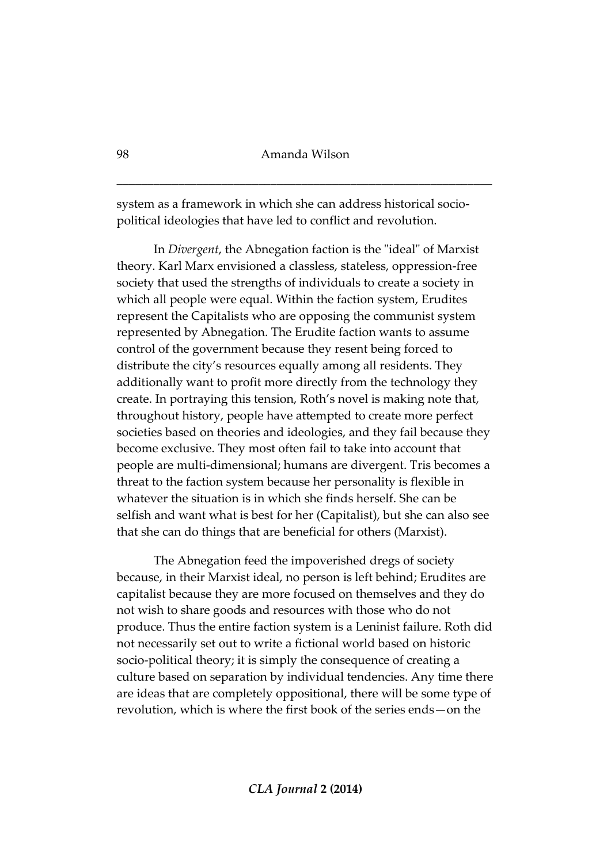system as a framework in which she can address historical sociopolitical ideologies that have led to conflict and revolution.

In *Divergent*, the Abnegation faction is the "ideal" of Marxist theory. Karl Marx envisioned a classless, stateless, oppression-free society that used the strengths of individuals to create a society in which all people were equal. Within the faction system, Erudites represent the Capitalists who are opposing the communist system represented by Abnegation. The Erudite faction wants to assume control of the government because they resent being forced to distribute the city's resources equally among all residents. They additionally want to profit more directly from the technology they create. In portraying this tension, Roth's novel is making note that, throughout history, people have attempted to create more perfect societies based on theories and ideologies, and they fail because they become exclusive. They most often fail to take into account that people are multi-dimensional; humans are divergent. Tris becomes a threat to the faction system because her personality is flexible in whatever the situation is in which she finds herself. She can be selfish and want what is best for her (Capitalist), but she can also see that she can do things that are beneficial for others (Marxist).

The Abnegation feed the impoverished dregs of society because, in their Marxist ideal, no person is left behind; Erudites are capitalist because they are more focused on themselves and they do not wish to share goods and resources with those who do not produce. Thus the entire faction system is a Leninist failure. Roth did not necessarily set out to write a fictional world based on historic socio-political theory; it is simply the consequence of creating a culture based on separation by individual tendencies. Any time there are ideas that are completely oppositional, there will be some type of revolution, which is where the first book of the series ends—on the

*CLA Journal* **2 (2014)**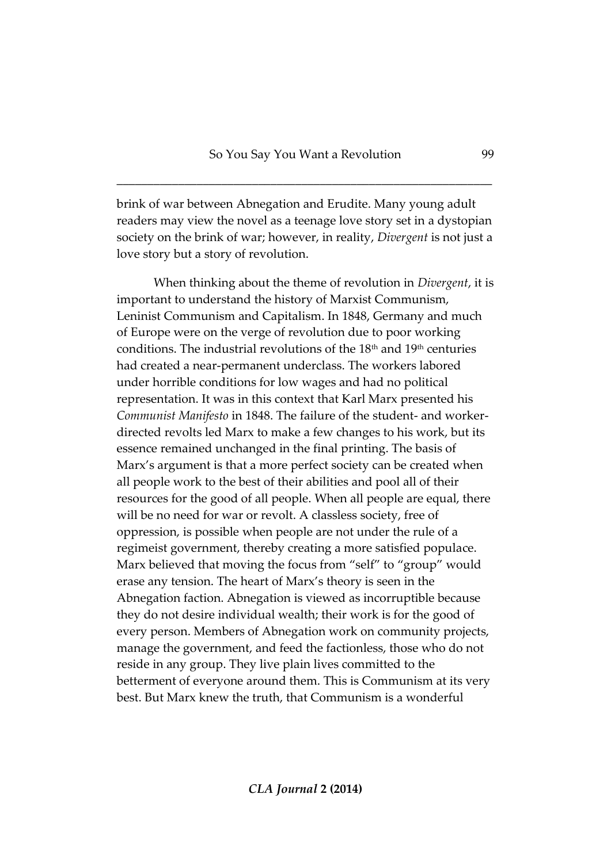brink of war between Abnegation and Erudite. Many young adult readers may view the novel as a teenage love story set in a dystopian society on the brink of war; however, in reality, *Divergent* is not just a love story but a story of revolution.

When thinking about the theme of revolution in *Divergent*, it is important to understand the history of Marxist Communism, Leninist Communism and Capitalism. In 1848, Germany and much of Europe were on the verge of revolution due to poor working conditions. The industrial revolutions of the 18<sup>th</sup> and 19<sup>th</sup> centuries had created a near-permanent underclass. The workers labored under horrible conditions for low wages and had no political representation. It was in this context that Karl Marx presented his *Communist Manifesto* in 1848. The failure of the student- and workerdirected revolts led Marx to make a few changes to his work, but its essence remained unchanged in the final printing. The basis of Marx's argument is that a more perfect society can be created when all people work to the best of their abilities and pool all of their resources for the good of all people. When all people are equal, there will be no need for war or revolt. A classless society, free of oppression, is possible when people are not under the rule of a regimeist government, thereby creating a more satisfied populace. Marx believed that moving the focus from "self" to "group" would erase any tension. The heart of Marx's theory is seen in the Abnegation faction. Abnegation is viewed as incorruptible because they do not desire individual wealth; their work is for the good of every person. Members of Abnegation work on community projects, manage the government, and feed the factionless, those who do not reside in any group. They live plain lives committed to the betterment of everyone around them. This is Communism at its very best. But Marx knew the truth, that Communism is a wonderful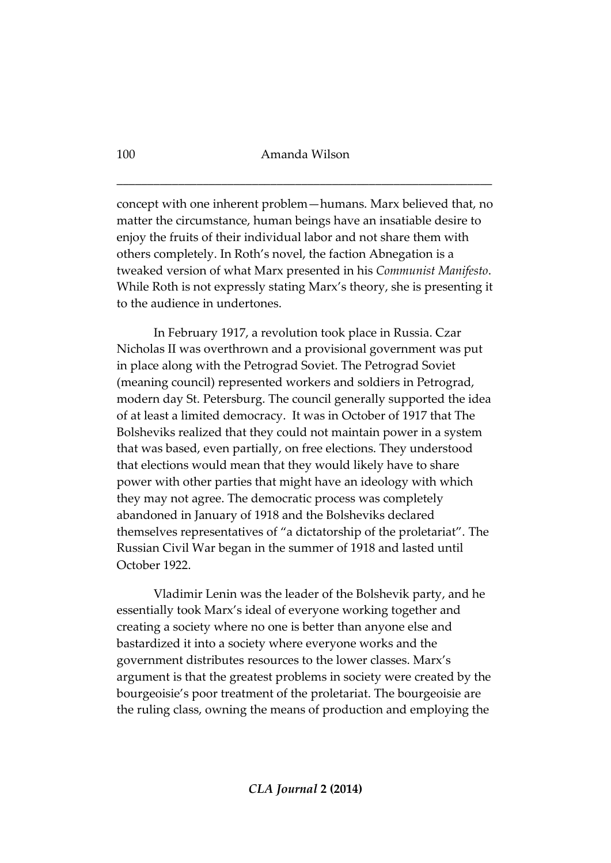concept with one inherent problem—humans. Marx believed that, no matter the circumstance, human beings have an insatiable desire to enjoy the fruits of their individual labor and not share them with others completely. In Roth's novel, the faction Abnegation is a tweaked version of what Marx presented in his *Communist Manifesto*. While Roth is not expressly stating Marx's theory, she is presenting it to the audience in undertones.

In February 1917, a revolution took place in Russia. Czar Nicholas II was overthrown and a provisional government was put in place along with the Petrograd Soviet. The Petrograd Soviet (meaning council) represented workers and soldiers in Petrograd, modern day St. Petersburg. The council generally supported the idea of at least a limited democracy. It was in October of 1917 that The Bolsheviks realized that they could not maintain power in a system that was based, even partially, on free elections. They understood that elections would mean that they would likely have to share power with other parties that might have an ideology with which they may not agree. The democratic process was completely abandoned in January of 1918 and the Bolsheviks declared themselves representatives of "a dictatorship of the proletariat". The Russian Civil War began in the summer of 1918 and lasted until October 1922.

Vladimir Lenin was the leader of the Bolshevik party, and he essentially took Marx's ideal of everyone working together and creating a society where no one is better than anyone else and bastardized it into a society where everyone works and the government distributes resources to the lower classes. Marx's argument is that the greatest problems in society were created by the bourgeoisie's poor treatment of the proletariat. The bourgeoisie are the ruling class, owning the means of production and employing the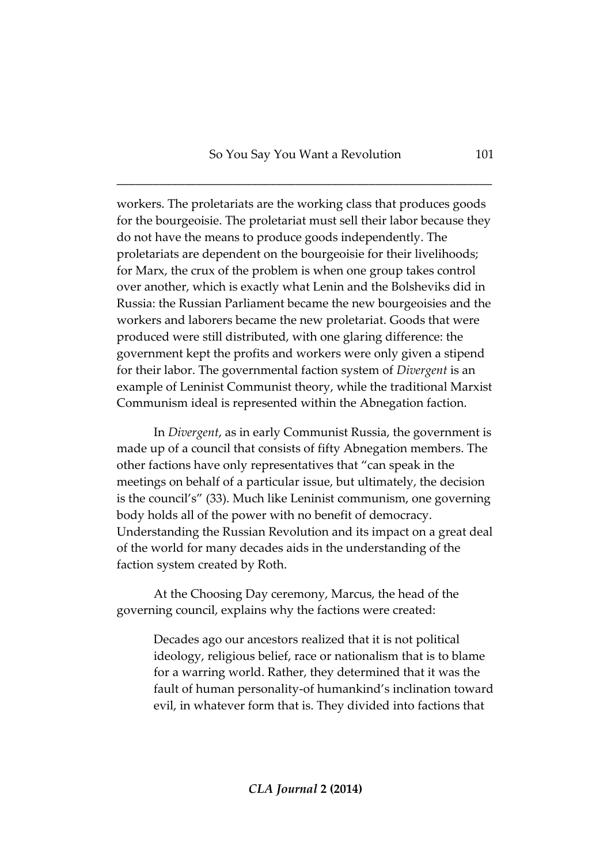workers. The proletariats are the working class that produces goods for the bourgeoisie. The proletariat must sell their labor because they do not have the means to produce goods independently. The proletariats are dependent on the bourgeoisie for their livelihoods; for Marx, the crux of the problem is when one group takes control over another, which is exactly what Lenin and the Bolsheviks did in Russia: the Russian Parliament became the new bourgeoisies and the workers and laborers became the new proletariat. Goods that were produced were still distributed, with one glaring difference: the government kept the profits and workers were only given a stipend for their labor. The governmental faction system of *Divergent* is an example of Leninist Communist theory, while the traditional Marxist Communism ideal is represented within the Abnegation faction.

In *Divergent*, as in early Communist Russia, the government is made up of a council that consists of fifty Abnegation members. The other factions have only representatives that "can speak in the meetings on behalf of a particular issue, but ultimately, the decision is the council's" (33). Much like Leninist communism, one governing body holds all of the power with no benefit of democracy. Understanding the Russian Revolution and its impact on a great deal of the world for many decades aids in the understanding of the faction system created by Roth.

At the Choosing Day ceremony, Marcus, the head of the governing council, explains why the factions were created:

> Decades ago our ancestors realized that it is not political ideology, religious belief, race or nationalism that is to blame for a warring world. Rather, they determined that it was the fault of human personality-of humankind's inclination toward evil, in whatever form that is. They divided into factions that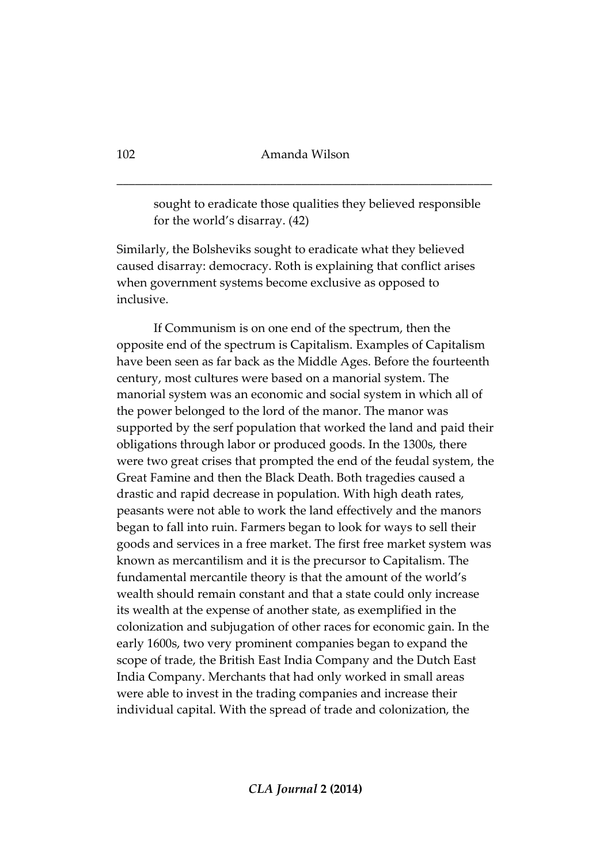sought to eradicate those qualities they believed responsible for the world's disarray. (42)

Similarly, the Bolsheviks sought to eradicate what they believed caused disarray: democracy. Roth is explaining that conflict arises when government systems become exclusive as opposed to inclusive.

If Communism is on one end of the spectrum, then the opposite end of the spectrum is Capitalism. Examples of Capitalism have been seen as far back as the Middle Ages. Before the fourteenth century, most cultures were based on a manorial system. The manorial system was an economic and social system in which all of the power belonged to the lord of the manor. The manor was supported by the serf population that worked the land and paid their obligations through labor or produced goods. In the 1300s, there were two great crises that prompted the end of the feudal system, the Great Famine and then the Black Death. Both tragedies caused a drastic and rapid decrease in population. With high death rates, peasants were not able to work the land effectively and the manors began to fall into ruin. Farmers began to look for ways to sell their goods and services in a free market. The first free market system was known as mercantilism and it is the precursor to Capitalism. The fundamental mercantile theory is that the amount of the world's wealth should remain constant and that a state could only increase its wealth at the expense of another state, as exemplified in the colonization and subjugation of other races for economic gain. In the early 1600s, two very prominent companies began to expand the scope of trade, the British East India Company and the Dutch East India Company. Merchants that had only worked in small areas were able to invest in the trading companies and increase their individual capital. With the spread of trade and colonization, the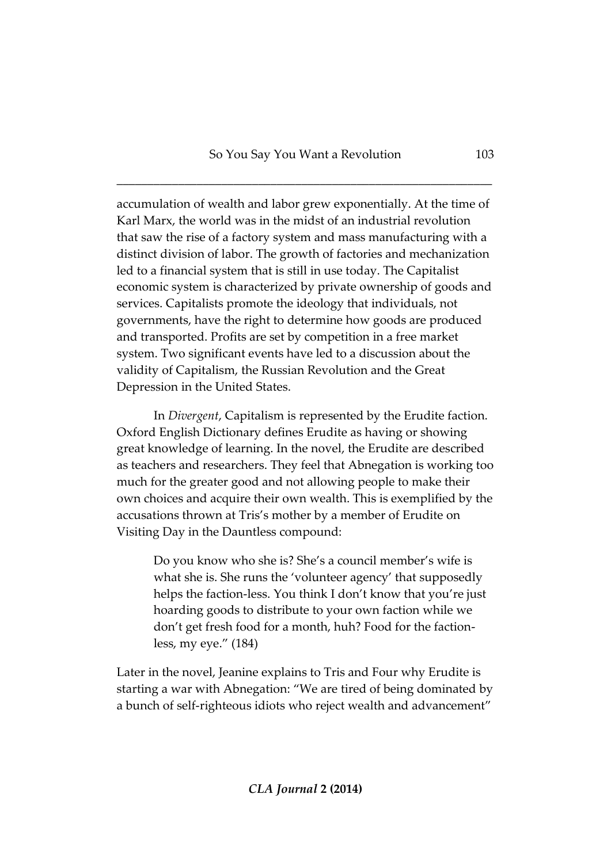accumulation of wealth and labor grew exponentially. At the time of Karl Marx, the world was in the midst of an industrial revolution that saw the rise of a factory system and mass manufacturing with a distinct division of labor. The growth of factories and mechanization led to a financial system that is still in use today. The Capitalist economic system is characterized by private ownership of goods and services. Capitalists promote the ideology that individuals, not governments, have the right to determine how goods are produced and transported. Profits are set by competition in a free market system. Two significant events have led to a discussion about the validity of Capitalism, the Russian Revolution and the Great Depression in the United States.

In *Divergent*, Capitalism is represented by the Erudite faction. Oxford English Dictionary defines Erudite as having or showing great knowledge of learning. In the novel, the Erudite are described as teachers and researchers. They feel that Abnegation is working too much for the greater good and not allowing people to make their own choices and acquire their own wealth. This is exemplified by the accusations thrown at Tris's mother by a member of Erudite on Visiting Day in the Dauntless compound:

Do you know who she is? She's a council member's wife is what she is. She runs the 'volunteer agency' that supposedly helps the faction-less. You think I don't know that you're just hoarding goods to distribute to your own faction while we don't get fresh food for a month, huh? Food for the factionless, my eye." (184)

Later in the novel, Jeanine explains to Tris and Four why Erudite is starting a war with Abnegation: "We are tired of being dominated by a bunch of self-righteous idiots who reject wealth and advancement"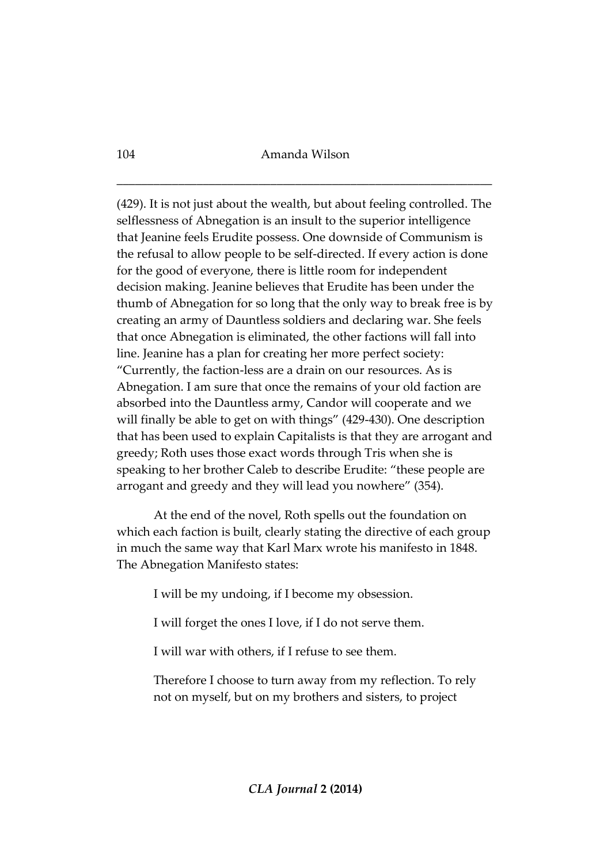(429). It is not just about the wealth, but about feeling controlled. The selflessness of Abnegation is an insult to the superior intelligence that Jeanine feels Erudite possess. One downside of Communism is the refusal to allow people to be self-directed. If every action is done for the good of everyone, there is little room for independent decision making. Jeanine believes that Erudite has been under the thumb of Abnegation for so long that the only way to break free is by creating an army of Dauntless soldiers and declaring war. She feels that once Abnegation is eliminated, the other factions will fall into line. Jeanine has a plan for creating her more perfect society: "Currently, the faction-less are a drain on our resources. As is Abnegation. I am sure that once the remains of your old faction are absorbed into the Dauntless army, Candor will cooperate and we will finally be able to get on with things" (429-430). One description that has been used to explain Capitalists is that they are arrogant and greedy; Roth uses those exact words through Tris when she is speaking to her brother Caleb to describe Erudite: "these people are arrogant and greedy and they will lead you nowhere" (354).

At the end of the novel, Roth spells out the foundation on which each faction is built, clearly stating the directive of each group in much the same way that Karl Marx wrote his manifesto in 1848. The Abnegation Manifesto states:

I will be my undoing, if I become my obsession.

I will forget the ones I love, if I do not serve them.

I will war with others, if I refuse to see them.

Therefore I choose to turn away from my reflection. To rely not on myself, but on my brothers and sisters, to project

104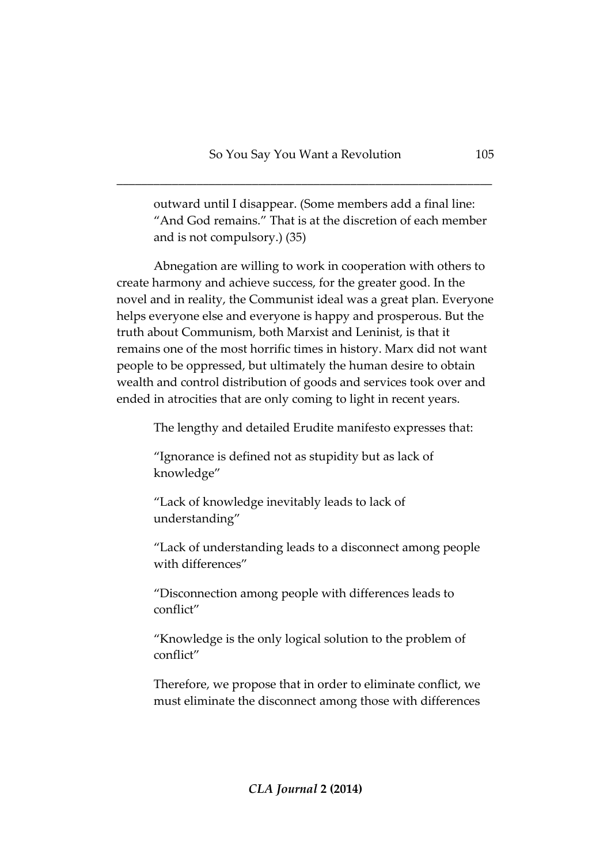outward until I disappear. (Some members add a final line: "And God remains." That is at the discretion of each member and is not compulsory.) (35)

Abnegation are willing to work in cooperation with others to create harmony and achieve success, for the greater good. In the novel and in reality, the Communist ideal was a great plan. Everyone helps everyone else and everyone is happy and prosperous. But the truth about Communism, both Marxist and Leninist, is that it remains one of the most horrific times in history. Marx did not want people to be oppressed, but ultimately the human desire to obtain wealth and control distribution of goods and services took over and ended in atrocities that are only coming to light in recent years.

The lengthy and detailed Erudite manifesto expresses that:

"Ignorance is defined not as stupidity but as lack of knowledge"

"Lack of knowledge inevitably leads to lack of understanding"

"Lack of understanding leads to a disconnect among people with differences"

"Disconnection among people with differences leads to conflict"

"Knowledge is the only logical solution to the problem of conflict"

Therefore, we propose that in order to eliminate conflict, we must eliminate the disconnect among those with differences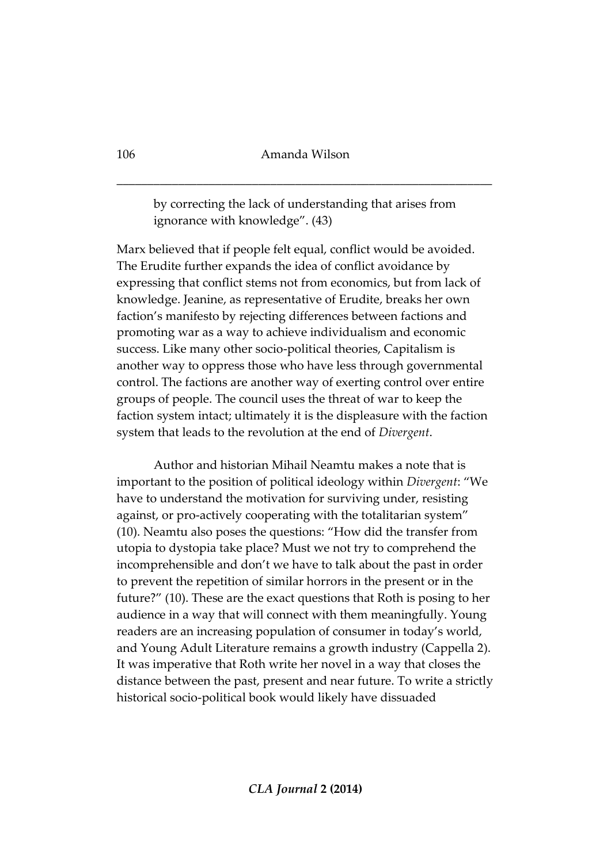by correcting the lack of understanding that arises from ignorance with knowledge". (43)

Marx believed that if people felt equal, conflict would be avoided. The Erudite further expands the idea of conflict avoidance by expressing that conflict stems not from economics, but from lack of knowledge. Jeanine, as representative of Erudite, breaks her own faction's manifesto by rejecting differences between factions and promoting war as a way to achieve individualism and economic success. Like many other socio-political theories, Capitalism is another way to oppress those who have less through governmental control. The factions are another way of exerting control over entire groups of people. The council uses the threat of war to keep the faction system intact; ultimately it is the displeasure with the faction system that leads to the revolution at the end of *Divergent*.

Author and historian Mihail Neamtu makes a note that is important to the position of political ideology within *Divergent*: "We have to understand the motivation for surviving under, resisting against, or pro-actively cooperating with the totalitarian system" (10). Neamtu also poses the questions: "How did the transfer from utopia to dystopia take place? Must we not try to comprehend the incomprehensible and don't we have to talk about the past in order to prevent the repetition of similar horrors in the present or in the future?" (10). These are the exact questions that Roth is posing to her audience in a way that will connect with them meaningfully. Young readers are an increasing population of consumer in today's world, and Young Adult Literature remains a growth industry (Cappella 2). It was imperative that Roth write her novel in a way that closes the distance between the past, present and near future. To write a strictly historical socio-political book would likely have dissuaded

106

*CLA Journal* **2 (2014)**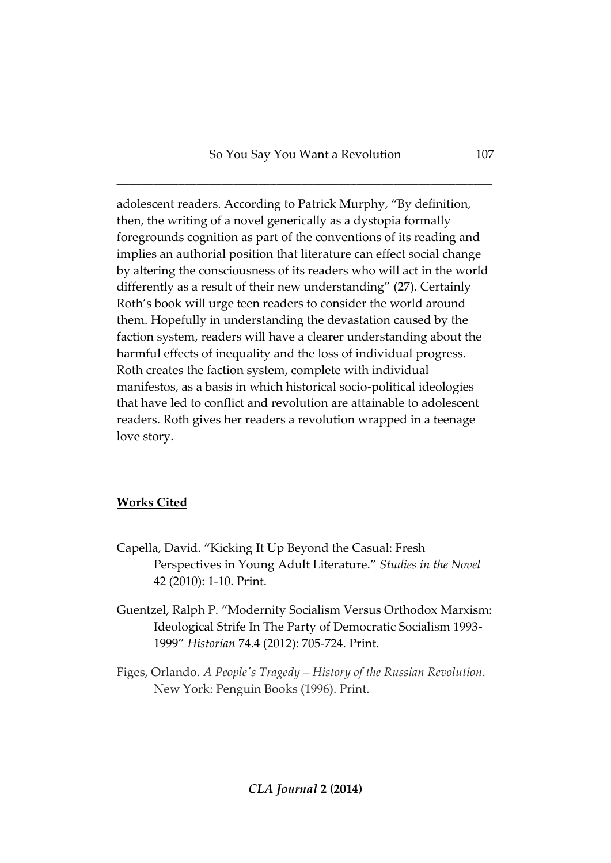adolescent readers. According to Patrick Murphy, "By definition, then, the writing of a novel generically as a dystopia formally foregrounds cognition as part of the conventions of its reading and implies an authorial position that literature can effect social change by altering the consciousness of its readers who will act in the world differently as a result of their new understanding" (27). Certainly Roth's book will urge teen readers to consider the world around them. Hopefully in understanding the devastation caused by the faction system, readers will have a clearer understanding about the harmful effects of inequality and the loss of individual progress. Roth creates the faction system, complete with individual manifestos, as a basis in which historical socio-political ideologies that have led to conflict and revolution are attainable to adolescent readers. Roth gives her readers a revolution wrapped in a teenage love story.

## **Works Cited**

- Capella, David. "Kicking It Up Beyond the Casual: Fresh Perspectives in Young Adult Literature." *Studies in the Novel*  42 (2010): 1-10. Print.
- Guentzel, Ralph P. "Modernity Socialism Versus Orthodox Marxism: Ideological Strife In The Party of Democratic Socialism 1993- 1999" *Historian* 74.4 (2012): 705-724. Print.

Figes, Orlando. *A People's Tragedy – History of the Russian Revolution*. New York: Penguin Books (1996). Print.